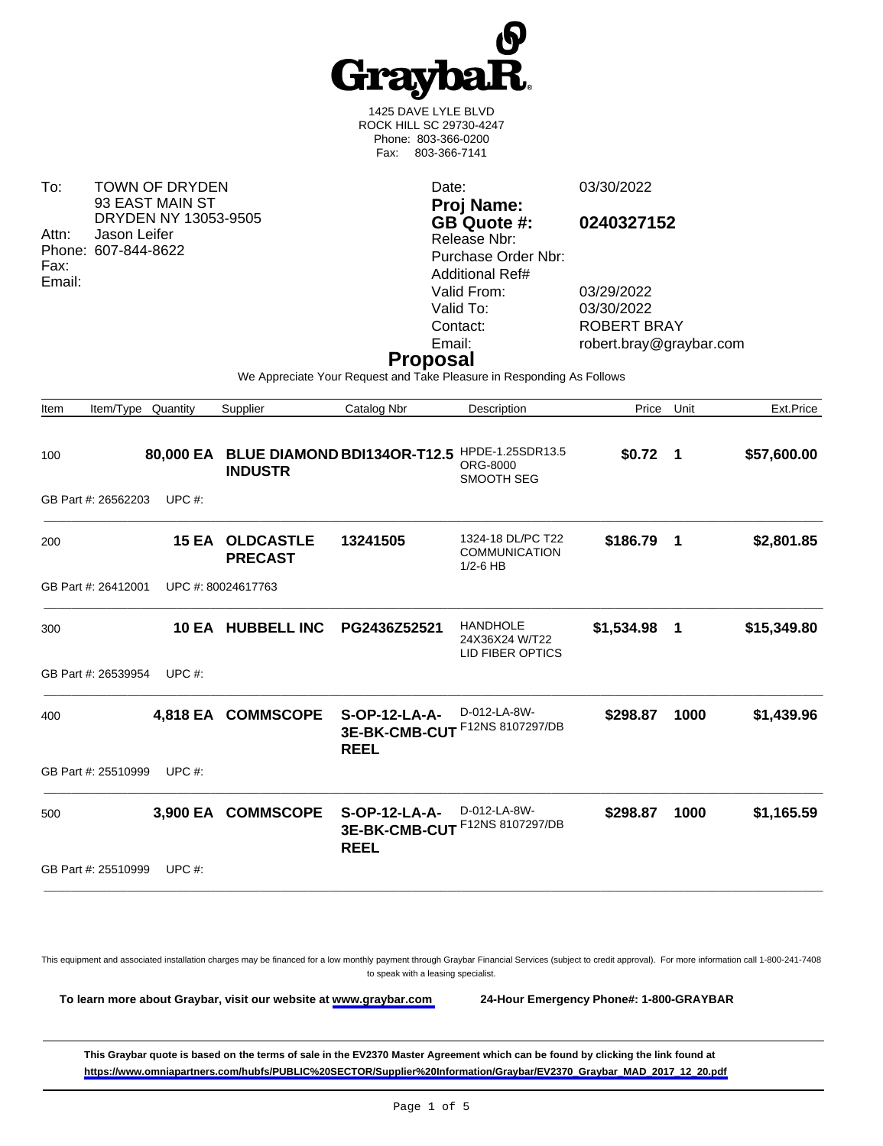

1425 DAVE LYLE BLVD ROCK HILL SC 29730-4247 Phone: 803-366-0200 Fax: 803-366-7141

To: TOWN OF DRYDEN 93 EAST MAIN ST DRYDEN NY 13053-9505 Attn: Jason Leifer Phone: 607-844-8622 Fax: Email:

Date: 03/30/2022 **Proj Name: GB Quote #: 0240327152** Release Nbr: Purchase Order Nbr: Additional Ref# Valid From: 03/29/2022 Valid To: 03/30/2022<br>Contact: ROBERT B Contact: ROBERT BRAY<br>
Email: Figure 1001 Figure 1001 Control Control Control Control Control Control Control Control Control Control Control Control Control Control Control Control Control Control Control Control Control C

robert.bray@graybar.com

### **Proposal**

We Appreciate Your Request and Take Pleasure in Responding As Follows

| Item | Item/Type Quantity  |           | Supplier                           | Catalog Nbr                                          | Description                                                  | Price        | Unit        | Ext.Price   |
|------|---------------------|-----------|------------------------------------|------------------------------------------------------|--------------------------------------------------------------|--------------|-------------|-------------|
| 100  |                     | 80,000 EA | <b>INDUSTR</b>                     | BLUE DIAMOND BDI134OR-T12.5 HPDE-1.25SDR13.5         | ORG-8000<br>SMOOTH SEG                                       | $$0.72$ 1    |             | \$57,600.00 |
|      | GB Part #: 26562203 | UPC $#$ : |                                    |                                                      |                                                              |              |             |             |
| 200  |                     | 15 EA     | <b>OLDCASTLE</b><br><b>PRECAST</b> | 13241505                                             | 1324-18 DL/PC T22<br><b>COMMUNICATION</b><br>$1/2-6$ HB      | \$186.79     | $\mathbf 1$ | \$2,801.85  |
|      | GB Part #: 26412001 |           | UPC #: 80024617763                 |                                                      |                                                              |              |             |             |
| 300  |                     |           | 10 EA HUBBELL INC                  | PG2436Z52521                                         | <b>HANDHOLE</b><br>24X36X24 W/T22<br><b>LID FIBER OPTICS</b> | \$1,534.98 1 |             | \$15,349.80 |
|      | GB Part #: 26539954 | UPC $#$ : |                                    |                                                      |                                                              |              |             |             |
| 400  |                     |           | 4,818 EA COMMSCOPE                 | <b>S-OP-12-LA-A-</b><br>3E-BK-CMB-CUT<br><b>REEL</b> | D-012-LA-8W-<br>F12NS 8107297/DB                             | \$298.87     | 1000        | \$1,439.96  |
|      | GB Part #: 25510999 | UPC $#$ : |                                    |                                                      |                                                              |              |             |             |
| 500  |                     | 3,900 EA  | <b>COMMSCOPE</b>                   | S-OP-12-LA-A-<br>3E-BK-CMB-CUT<br><b>REEL</b>        | D-012-LA-8W-<br>F12NS 8107297/DB                             | \$298.87     | 1000        | \$1,165.59  |
|      | GB Part #: 25510999 | UPC $#$ : |                                    |                                                      |                                                              |              |             |             |
|      |                     |           |                                    |                                                      |                                                              |              |             |             |

This equipment and associated installation charges may be financed for a low monthly payment through Graybar Financial Services (subject to credit approval). For more information call 1-800-241-7408 to speak with a leasing specialist.

**To learn more about Graybar, visit our website at [www.graybar.com](www.graybar.com ) 24-Hour Emergency Phone#: 1-800-GRAYBAR**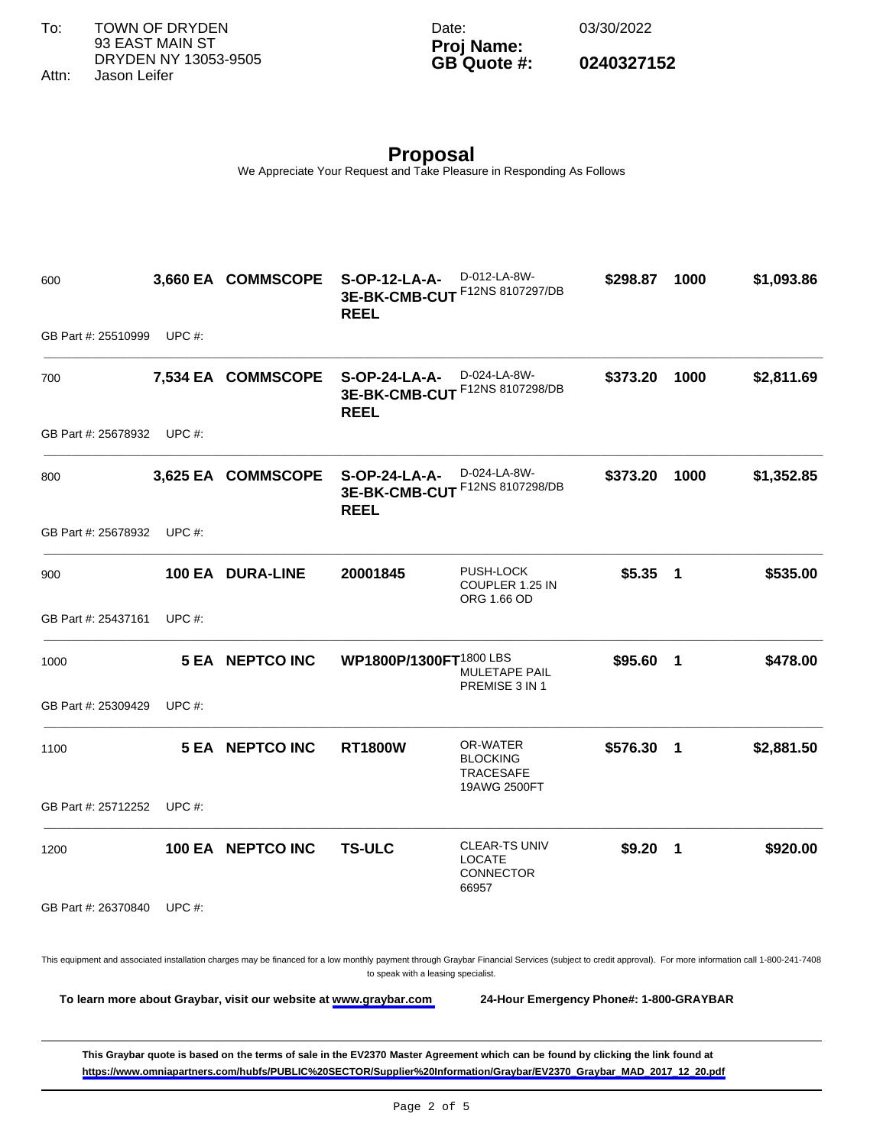To: TOWN OF DRYDEN 93 EAST MAIN ST DRYDEN NY 13053-9505

Date: 03/30/2022

### **Proj Name: GB Quote #: 0240327152**

Attn: Jason Leifer

# **Proposal**

We Appreciate Your Request and Take Pleasure in Responding As Follows

600 **3,660 EA COMMSCOPE S-OP-12-LA-A-3E-BK-CMB-CUT** F12NS 8107297/DB **REEL** D-012-LA-8W-**\$298.87 1000 \$1,093.86**  GB Part #: 25510999 UPC #: \_\_\_\_\_\_\_\_\_\_\_\_\_\_\_\_\_\_\_\_\_\_\_\_\_\_\_\_\_\_\_\_\_\_\_\_\_\_\_\_\_\_\_\_\_\_\_\_\_\_\_\_\_\_\_\_\_\_\_\_\_\_\_\_\_\_\_\_\_\_\_\_\_\_\_\_\_\_\_\_\_\_\_\_\_\_\_\_\_\_\_\_\_\_\_\_\_\_\_\_\_\_\_\_\_\_\_\_\_\_\_\_ 700 **7,534 EA COMMSCOPE S-OP-24-LA-A-3E-BK-CMB-CUT** F12NS 8107298/DB **REEL** D-024-LA-8W-**\$373.20 1000 \$2,811.69**  GB Part #: 25678932 UPC #: \_\_\_\_\_\_\_\_\_\_\_\_\_\_\_\_\_\_\_\_\_\_\_\_\_\_\_\_\_\_\_\_\_\_\_\_\_\_\_\_\_\_\_\_\_\_\_\_\_\_\_\_\_\_\_\_\_\_\_\_\_\_\_\_\_\_\_\_\_\_\_\_\_\_\_\_\_\_\_\_\_\_\_\_\_\_\_\_\_\_\_\_\_\_\_\_\_\_\_\_\_\_\_\_\_\_\_\_\_\_\_\_ 800 **3,625 EA COMMSCOPE S-OP-24-LA-A-3E-BK-CMB-CUT** F12NS 8107298/DB **REEL** D-024-LA-8W-**\$373.20 1000 \$1,352.85**  GB Part #: 25678932 UPC #: \_\_\_\_\_\_\_\_\_\_\_\_\_\_\_\_\_\_\_\_\_\_\_\_\_\_\_\_\_\_\_\_\_\_\_\_\_\_\_\_\_\_\_\_\_\_\_\_\_\_\_\_\_\_\_\_\_\_\_\_\_\_\_\_\_\_\_\_\_\_\_\_\_\_\_\_\_\_\_\_\_\_\_\_\_\_\_\_\_\_\_\_\_\_\_\_\_\_\_\_\_\_\_\_\_\_\_\_\_\_\_\_ 900 **100 EA DURA-LINE 20001845** PUSH-LOCK COUPLER 1.25 IN ORG 1.66 OD **\$5.35 1 \$535.00**  GB Part #: 25437161 UPC #: \_\_\_\_\_\_\_\_\_\_\_\_\_\_\_\_\_\_\_\_\_\_\_\_\_\_\_\_\_\_\_\_\_\_\_\_\_\_\_\_\_\_\_\_\_\_\_\_\_\_\_\_\_\_\_\_\_\_\_\_\_\_\_\_\_\_\_\_\_\_\_\_\_\_\_\_\_\_\_\_\_\_\_\_\_\_\_\_\_\_\_\_\_\_\_\_\_\_\_\_\_\_\_\_\_\_\_\_\_\_\_\_ 1000 **5 EA NEPTCO INC WP1800P/1300FT**1800 LBS MULETAPE PAIL PREMISE 3 IN 1 **\$95.60 1 \$478.00**  GB Part #: 25309429 UPC #: \_\_\_\_\_\_\_\_\_\_\_\_\_\_\_\_\_\_\_\_\_\_\_\_\_\_\_\_\_\_\_\_\_\_\_\_\_\_\_\_\_\_\_\_\_\_\_\_\_\_\_\_\_\_\_\_\_\_\_\_\_\_\_\_\_\_\_\_\_\_\_\_\_\_\_\_\_\_\_\_\_\_\_\_\_\_\_\_\_\_\_\_\_\_\_\_\_\_\_\_\_\_\_\_\_\_\_\_\_\_\_\_ 1100 **5 EA NEPTCO INC RT1800W** OR-WATER BLOCKING TRACESAFE 19AWG 2500FT **\$576.30 1 \$2,881.50**  GB Part #: 25712252 UPC #: \_\_\_\_\_\_\_\_\_\_\_\_\_\_\_\_\_\_\_\_\_\_\_\_\_\_\_\_\_\_\_\_\_\_\_\_\_\_\_\_\_\_\_\_\_\_\_\_\_\_\_\_\_\_\_\_\_\_\_\_\_\_\_\_\_\_\_\_\_\_\_\_\_\_\_\_\_\_\_\_\_\_\_\_\_\_\_\_\_\_\_\_\_\_\_\_\_\_\_\_\_\_\_\_\_\_\_\_\_\_\_\_ 1200 **100 EA NEPTCO INC TS-ULC** CLEAR-TS UNIV LOCATE CONNECTOR 66957 **\$9.20 1 \$920.00**  GB Part #: 26370840 UPC #: **This Graybar quote is based on the terms of sale in the EV2370 Master Agreement which can be found by clicking the link found at**  This equipment and associated installation charges may be financed for a low monthly payment through Graybar Financial Services (subject to credit approval). For more information call 1-800-241-7408 to speak with a leasing specialist. **To learn more about Graybar, visit our website at [www.graybar.com](www.graybar.com ) 24-Hour Emergency Phone#: 1-800-GRAYBAR**

**[https://www.omniapartners.com/hubfs/PUBLIC%20SECTOR/Supplier%20Information/Graybar/EV2370\\_Graybar\\_MAD\\_2017\\_12\\_20.pdf](https://www.omniapartners.com/hubfs/PUBLIC%20SECTOR/Supplier%20Information/Graybar/EV2370_Graybar_MAD_2017_12_20.pdf)**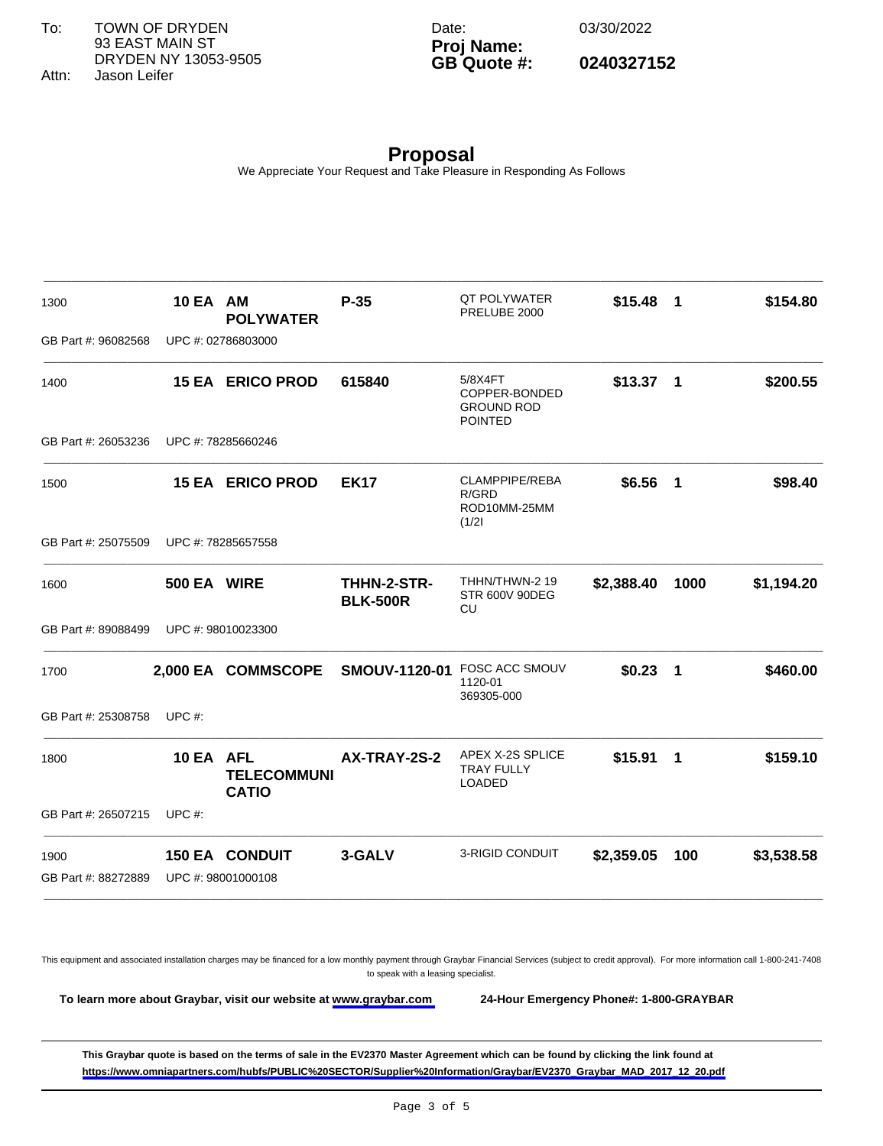Date: 03/30/2022

## **Proj Name: GB Quote #: 0240327152**

**Proposal** We Appreciate Your Request and Take Pleasure in Responding As Follows

\_\_\_\_\_\_\_\_\_\_\_\_\_\_\_\_\_\_\_\_\_\_\_\_\_\_\_\_\_\_\_\_\_\_\_\_\_\_\_\_\_\_\_\_\_\_\_\_\_\_\_\_\_\_\_\_\_\_\_\_\_\_\_\_\_\_\_\_\_\_\_\_\_\_\_\_\_\_\_\_\_\_\_\_\_\_\_\_\_\_\_\_\_\_\_\_\_\_\_\_\_\_\_\_\_\_\_\_\_\_\_\_

| GB Part #: 96082568              |                                                 |                                |                                                                 |            |      |            |
|----------------------------------|-------------------------------------------------|--------------------------------|-----------------------------------------------------------------|------------|------|------------|
|                                  | UPC #: 02786803000                              |                                |                                                                 |            |      |            |
| 1400                             | <b>15 EA ERICO PROD</b>                         | 615840                         | 5/8X4FT<br>COPPER-BONDED<br><b>GROUND ROD</b><br><b>POINTED</b> | $$13.37$ 1 |      | \$200.55   |
| GB Part #: 26053236              | UPC #: 78285660246                              |                                |                                                                 |            |      |            |
| 1500                             | <b>15 EA ERICO PROD</b>                         | <b>EK17</b>                    | CLAMPPIPE/REBA<br>R/GRD<br>ROD10MM-25MM<br>(1/2)                | $$6.56$ 1  |      | \$98.40    |
| GB Part #: 25075509              | UPC #: 78285657558                              |                                |                                                                 |            |      |            |
| 1600                             | 500 EA WIRE                                     | THHN-2-STR-<br><b>BLK-500R</b> | THHN/THWN-2 19<br><b>STR 600V 90DEG</b><br>CU                   | \$2,388.40 | 1000 | \$1,194.20 |
| GB Part #: 89088499              | UPC #: 98010023300                              |                                |                                                                 |            |      |            |
| 1700                             | 2,000 EA COMMSCOPE                              | <b>SMOUV-1120-01</b>           | <b>FOSC ACC SMOUV</b><br>1120-01<br>369305-000                  | $$0.23$ 1  |      | \$460.00   |
| GB Part #: 25308758<br>UPC $#$ : |                                                 |                                |                                                                 |            |      |            |
| 1800                             | 10 EA AFL<br><b>TELECOMMUNI</b><br><b>CATIO</b> | AX-TRAY-2S-2                   | APEX X-2S SPLICE<br><b>TRAY FULLY</b><br>LOADED                 | $$15.91$ 1 |      | \$159.10   |
| GB Part #: 26507215<br>UPC $#$ : |                                                 |                                |                                                                 |            |      |            |
| 1900                             | <b>150 EA CONDUIT</b>                           | 3-GALV                         | 3-RIGID CONDUIT                                                 | \$2,359.05 | 100  | \$3,538.58 |
| GB Part #: 88272889              | UPC #: 98001000108                              |                                |                                                                 |            |      |            |

This equipment and associated installation charges may be financed for a low monthly payment through Graybar Financial Services (subject to credit approval). For more information call 1-800-241-7408 to speak with a leasing specialist.

**To learn more about Graybar, visit our website at [www.graybar.com](www.graybar.com ) 24-Hour Emergency Phone#: 1-800-GRAYBAR**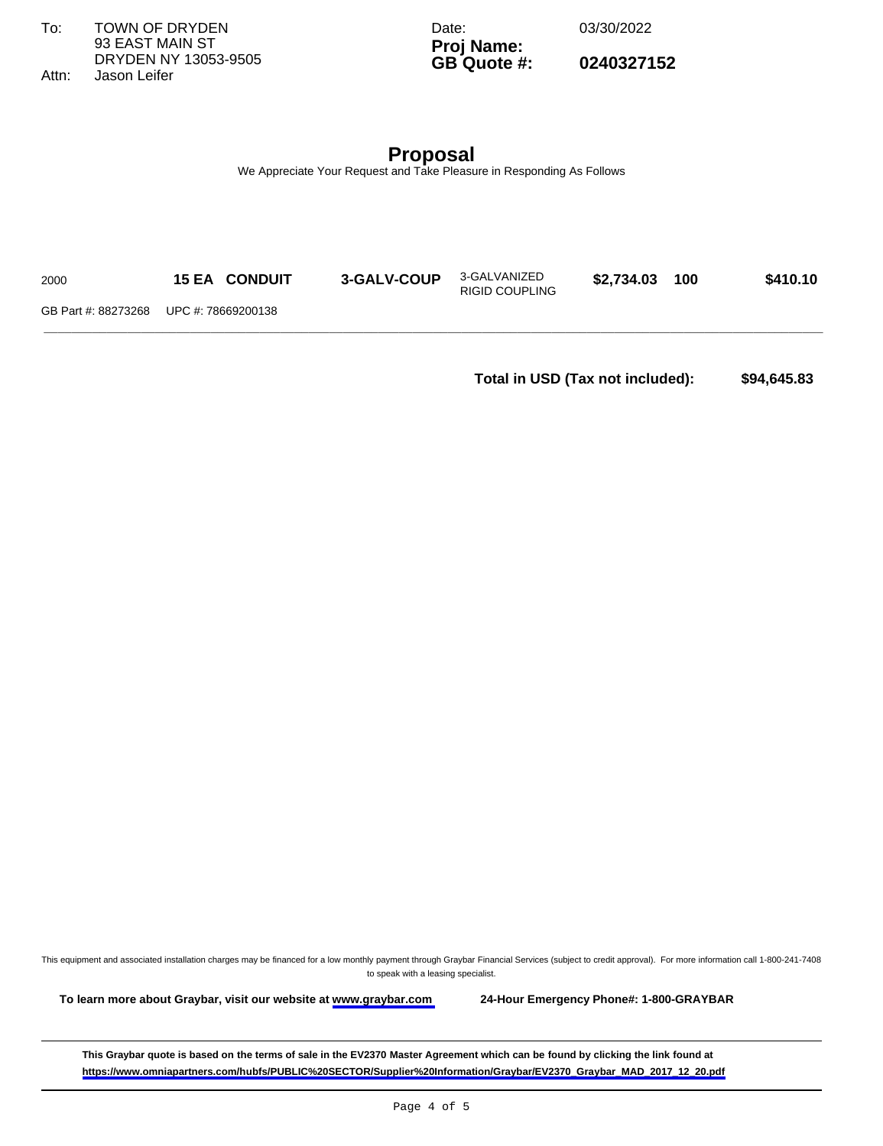To: TOWN OF DRYDEN 93 EAST MAIN ST DRYDEN NY 13053-9505 Attn: Jason Leifer

Date: 03/30/2022

# **Proj Name: GB Quote #: 0240327152**

**Proposal** We Appreciate Your Request and Take Pleasure in Responding As Follows

| 2000 | <b>15 EA CONDUIT</b>                   | 3-GALV-COUP | 3-GALVANIZED<br><b>RIGID COUPLING</b> | \$2,734.03 | 100 | \$410.10 |
|------|----------------------------------------|-------------|---------------------------------------|------------|-----|----------|
|      | GB Part #: 88273268 UPC #: 78669200138 |             |                                       |            |     |          |
|      |                                        |             |                                       |            |     |          |

**Total in USD (Tax not included): \$94,645.83** 

This equipment and associated installation charges may be financed for a low monthly payment through Graybar Financial Services (subject to credit approval). For more information call 1-800-241-7408 to speak with a leasing specialist.

**To learn more about Graybar, visit our website at [www.graybar.com](www.graybar.com ) 24-Hour Emergency Phone#: 1-800-GRAYBAR**